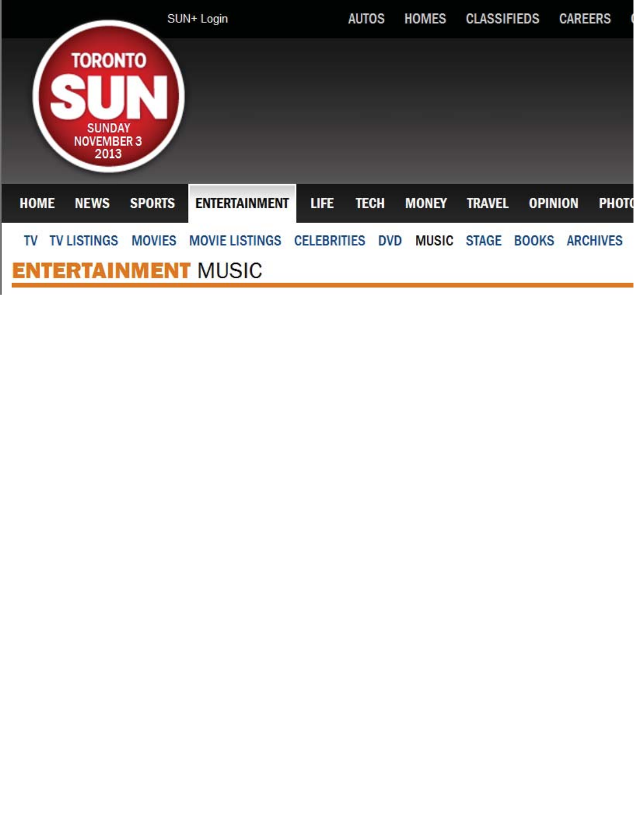